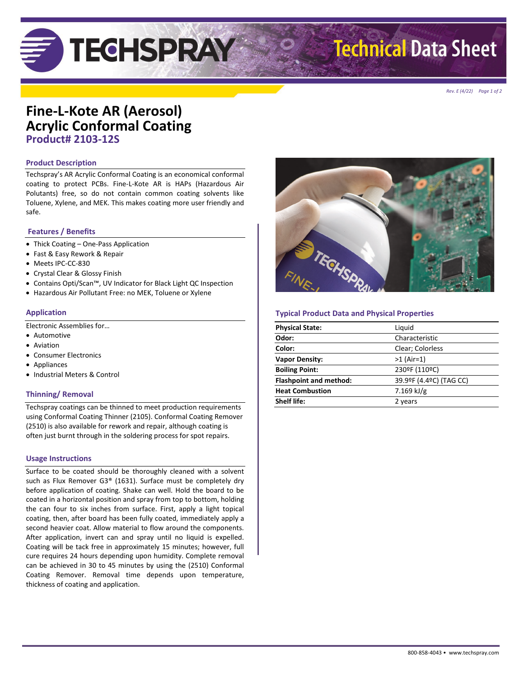# **TEGHSPRAY**

## **Technical Data Sheet**

*Rev. E (4/22) Page 1 of 2*

## **Fine-L-Kote AR (Aerosol) Acrylic Conformal Coating Product# 2103-12S**

## **Product Description**

Techspray's AR Acrylic Conformal Coating is an economical conformal coating to protect PCBs. Fine-L-Kote AR is HAPs (Hazardous Air Polutants) free, so do not contain common coating solvents like Toluene, Xylene, and MEK. This makes coating more user friendly and safe.

## **Features / Benefits**

- Thick Coating One-Pass Application
- Fast & Easy Rework & Repair
- Meets IPC-CC-830
- Crystal Clear & Glossy Finish
- Contains Opti/Scan™, UV Indicator for Black Light QC Inspection
- Hazardous Air Pollutant Free: no MEK, Toluene or Xylene

## **Application**

Electronic Assemblies for…

- Automotive
- Aviation
- Consumer Electronics
- Appliances
- Industrial Meters & Control

## **Thinning/ Removal**

Techspray coatings can be thinned to meet production requirements using Conformal Coating Thinner (2105). Conformal Coating Remover (2510) is also available for rework and repair, although coating is often just burnt through in the soldering process for spot repairs.

## **Usage Instructions**

Surface to be coated should be thoroughly cleaned with a solvent such as Flux Remover G3® (1631). Surface must be completely dry before application of coating. Shake can well. Hold the board to be coated in a horizontal position and spray from top to bottom, holding the can four to six inches from surface. First, apply a light topical coating, then, after board has been fully coated, immediately apply a second heavier coat. Allow material to flow around the components. After application, invert can and spray until no liquid is expelled. Coating will be tack free in approximately 15 minutes; however, full cure requires 24 hours depending upon humidity. Complete removal can be achieved in 30 to 45 minutes by using the (2510) Conformal Coating Remover. Removal time depends upon temperature, thickness of coating and application.



## **Typical Product Data and Physical Properties**

| <b>Physical State:</b>        | Liquid                  |
|-------------------------------|-------------------------|
| Odor:                         | Characteristic          |
| Color:                        | Clear; Colorless        |
| <b>Vapor Density:</b>         | $>1$ (Air=1)            |
| <b>Boiling Point:</b>         | 230ºF (110ºC)           |
| <b>Flashpoint and method:</b> | 39.9ºF (4.4ºC) (TAG CC) |
| <b>Heat Combustion</b>        | 7.169 kJ/g              |
| <b>Shelf life:</b>            | 2 years                 |
|                               |                         |